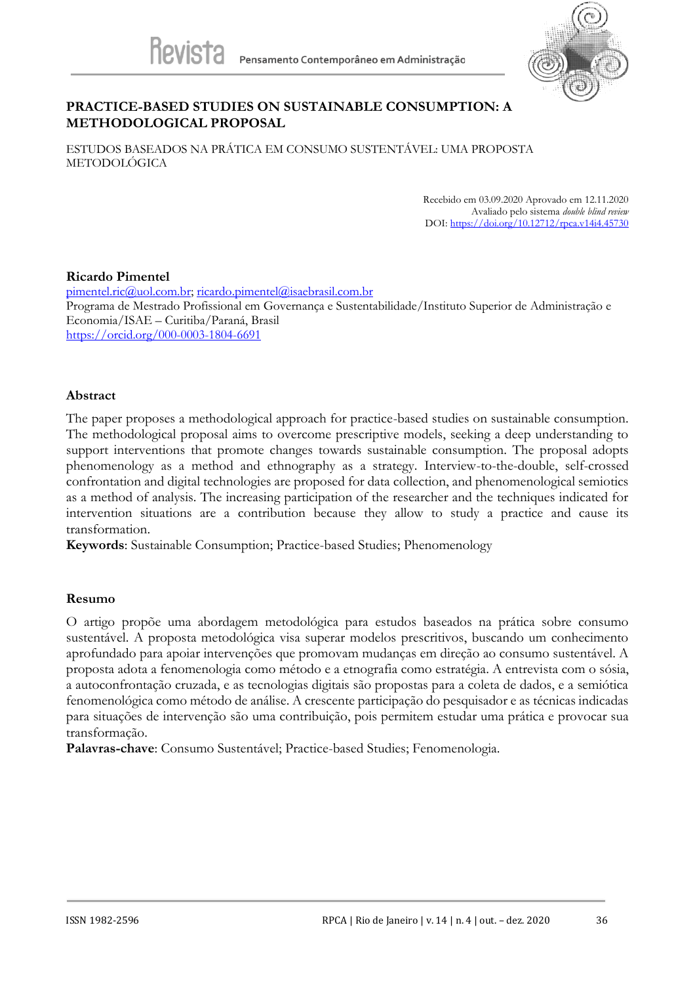

### **PRACTICE-BASED STUDIES ON SUSTAINABLE CONSUMPTION: A METHODOLOGICAL PROPOSAL**

ESTUDOS BASEADOS NA PRÁTICA EM CONSUMO SUSTENTÁVEL: UMA PROPOSTA METODOLÓGICA

> Recebido em 03.09.2020 Aprovado em 12.11.2020 Avaliado pelo sistema *double blind review* DOI[: https://doi.org/10.12712/rpca.v14i4.45730](https://doi.org/10.12712/rpca.v14i4.45730)

#### **Ricardo Pimentel**

[pimentel.ric@uol.com.br;](mailto:pimentel.ric@uol.com.br) [ricardo.pimentel@isaebrasil.com.br](mailto:ricardo.pimentel@isaebrasil.com.br) Programa de Mestrado Profissional em Governança e Sustentabilidade/Instituto Superior de Administração e Economia/ISAE – Curitiba/Paraná, Brasil <https://orcid.org/000-0003-1804-6691>

### **Abstract**

The paper proposes a methodological approach for practice-based studies on sustainable consumption. The methodological proposal aims to overcome prescriptive models, seeking a deep understanding to support interventions that promote changes towards sustainable consumption. The proposal adopts phenomenology as a method and ethnography as a strategy. Interview-to-the-double, self-crossed confrontation and digital technologies are proposed for data collection, and phenomenological semiotics as a method of analysis. The increasing participation of the researcher and the techniques indicated for intervention situations are a contribution because they allow to study a practice and cause its transformation.

**Keywords**: Sustainable Consumption; Practice-based Studies; Phenomenology

### **Resumo**

O artigo propõe uma abordagem metodológica para estudos baseados na prática sobre consumo sustentável. A proposta metodológica visa superar modelos prescritivos, buscando um conhecimento aprofundado para apoiar intervenções que promovam mudanças em direção ao consumo sustentável. A proposta adota a fenomenologia como método e a etnografia como estratégia. A entrevista com o sósia, a autoconfrontação cruzada, e as tecnologias digitais são propostas para a coleta de dados, e a semiótica fenomenológica como método de análise. A crescente participação do pesquisador e as técnicas indicadas para situações de intervenção são uma contribuição, pois permitem estudar uma prática e provocar sua transformação.

**Palavras-chave**: Consumo Sustentável; Practice-based Studies; Fenomenologia.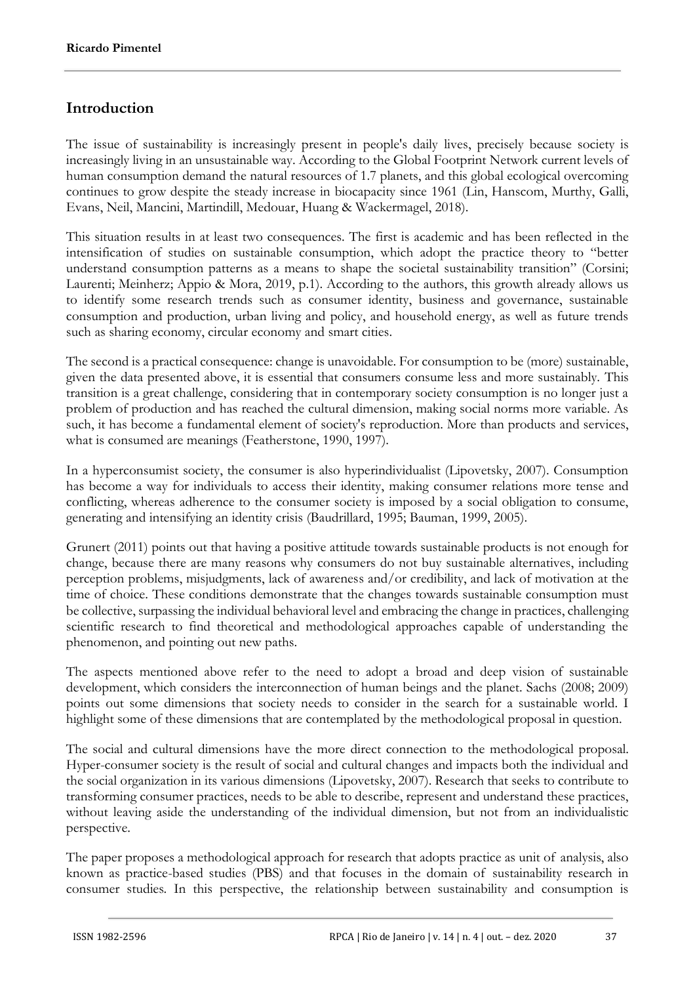## **Introduction**

The issue of sustainability is increasingly present in people's daily lives, precisely because society is increasingly living in an unsustainable way. According to the Global Footprint Network current levels of human consumption demand the natural resources of 1.7 planets, and this global ecological overcoming continues to grow despite the steady increase in biocapacity since 1961 (Lin, Hanscom, Murthy, Galli, Evans, Neil, Mancini, Martindill, Medouar, Huang & Wackermagel, 2018).

This situation results in at least two consequences. The first is academic and has been reflected in the intensification of studies on sustainable consumption, which adopt the practice theory to "better understand consumption patterns as a means to shape the societal sustainability transition" (Corsini; Laurenti; Meinherz; Appio & Mora, 2019, p.1). According to the authors, this growth already allows us to identify some research trends such as consumer identity, business and governance, sustainable consumption and production, urban living and policy, and household energy, as well as future trends such as sharing economy, circular economy and smart cities.

The second is a practical consequence: change is unavoidable. For consumption to be (more) sustainable, given the data presented above, it is essential that consumers consume less and more sustainably. This transition is a great challenge, considering that in contemporary society consumption is no longer just a problem of production and has reached the cultural dimension, making social norms more variable. As such, it has become a fundamental element of society's reproduction. More than products and services, what is consumed are meanings (Featherstone, 1990, 1997).

In a hyperconsumist society, the consumer is also hyperindividualist (Lipovetsky, 2007). Consumption has become a way for individuals to access their identity, making consumer relations more tense and conflicting, whereas adherence to the consumer society is imposed by a social obligation to consume, generating and intensifying an identity crisis (Baudrillard, 1995; Bauman, 1999, 2005).

Grunert (2011) points out that having a positive attitude towards sustainable products is not enough for change, because there are many reasons why consumers do not buy sustainable alternatives, including perception problems, misjudgments, lack of awareness and/or credibility, and lack of motivation at the time of choice. These conditions demonstrate that the changes towards sustainable consumption must be collective, surpassing the individual behavioral level and embracing the change in practices, challenging scientific research to find theoretical and methodological approaches capable of understanding the phenomenon, and pointing out new paths.

The aspects mentioned above refer to the need to adopt a broad and deep vision of sustainable development, which considers the interconnection of human beings and the planet. Sachs (2008; 2009) points out some dimensions that society needs to consider in the search for a sustainable world. I highlight some of these dimensions that are contemplated by the methodological proposal in question.

The social and cultural dimensions have the more direct connection to the methodological proposal. Hyper-consumer society is the result of social and cultural changes and impacts both the individual and the social organization in its various dimensions (Lipovetsky, 2007). Research that seeks to contribute to transforming consumer practices, needs to be able to describe, represent and understand these practices, without leaving aside the understanding of the individual dimension, but not from an individualistic perspective.

The paper proposes a methodological approach for research that adopts practice as unit of analysis, also known as practice-based studies (PBS) and that focuses in the domain of sustainability research in consumer studies. In this perspective, the relationship between sustainability and consumption is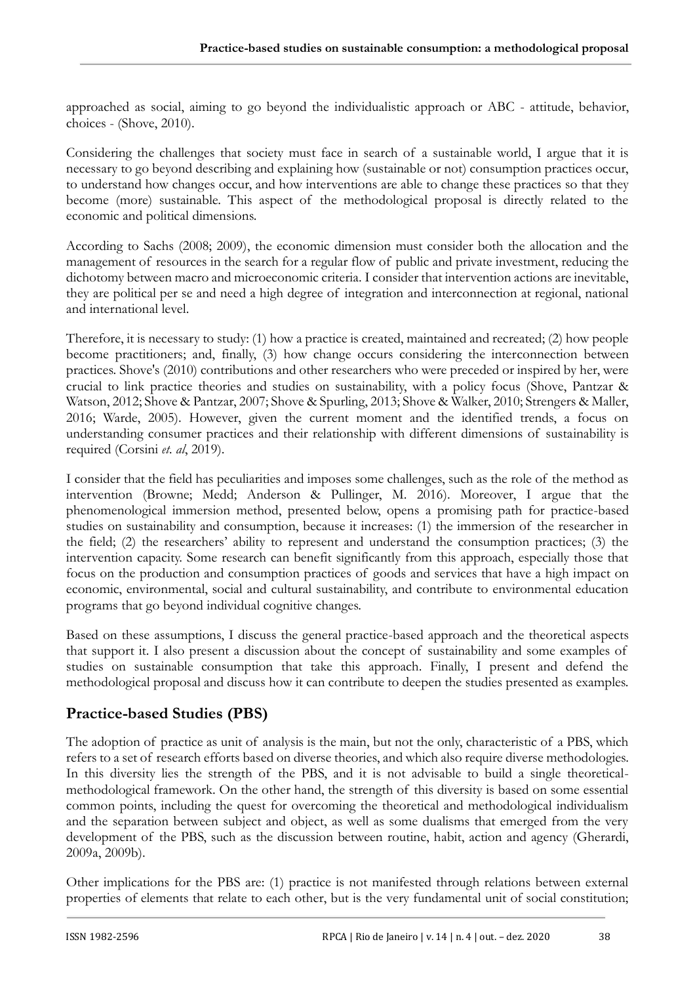approached as social, aiming to go beyond the individualistic approach or ABC - attitude, behavior, choices - (Shove, 2010).

Considering the challenges that society must face in search of a sustainable world, I argue that it is necessary to go beyond describing and explaining how (sustainable or not) consumption practices occur, to understand how changes occur, and how interventions are able to change these practices so that they become (more) sustainable. This aspect of the methodological proposal is directly related to the economic and political dimensions.

According to Sachs (2008; 2009), the economic dimension must consider both the allocation and the management of resources in the search for a regular flow of public and private investment, reducing the dichotomy between macro and microeconomic criteria. I consider that intervention actions are inevitable, they are political per se and need a high degree of integration and interconnection at regional, national and international level.

Therefore, it is necessary to study: (1) how a practice is created, maintained and recreated; (2) how people become practitioners; and, finally, (3) how change occurs considering the interconnection between practices. Shove's (2010) contributions and other researchers who were preceded or inspired by her, were crucial to link practice theories and studies on sustainability, with a policy focus (Shove, Pantzar & Watson, 2012; Shove & Pantzar, 2007; Shove & Spurling, 2013; Shove & Walker, 2010; Strengers & Maller, 2016; Warde, 2005). However, given the current moment and the identified trends, a focus on understanding consumer practices and their relationship with different dimensions of sustainability is required (Corsini *et. al*, 2019).

I consider that the field has peculiarities and imposes some challenges, such as the role of the method as intervention (Browne; Medd; Anderson & Pullinger, M. 2016). Moreover, I argue that the phenomenological immersion method, presented below, opens a promising path for practice-based studies on sustainability and consumption, because it increases: (1) the immersion of the researcher in the field; (2) the researchers' ability to represent and understand the consumption practices; (3) the intervention capacity. Some research can benefit significantly from this approach, especially those that focus on the production and consumption practices of goods and services that have a high impact on economic, environmental, social and cultural sustainability, and contribute to environmental education programs that go beyond individual cognitive changes.

Based on these assumptions, I discuss the general practice-based approach and the theoretical aspects that support it. I also present a discussion about the concept of sustainability and some examples of studies on sustainable consumption that take this approach. Finally, I present and defend the methodological proposal and discuss how it can contribute to deepen the studies presented as examples.

# **Practice-based Studies (PBS)**

The adoption of practice as unit of analysis is the main, but not the only, characteristic of a PBS, which refers to a set of research efforts based on diverse theories, and which also require diverse methodologies. In this diversity lies the strength of the PBS, and it is not advisable to build a single theoreticalmethodological framework. On the other hand, the strength of this diversity is based on some essential common points, including the quest for overcoming the theoretical and methodological individualism and the separation between subject and object, as well as some dualisms that emerged from the very development of the PBS, such as the discussion between routine, habit, action and agency (Gherardi, 2009a, 2009b).

Other implications for the PBS are: (1) practice is not manifested through relations between external properties of elements that relate to each other, but is the very fundamental unit of social constitution;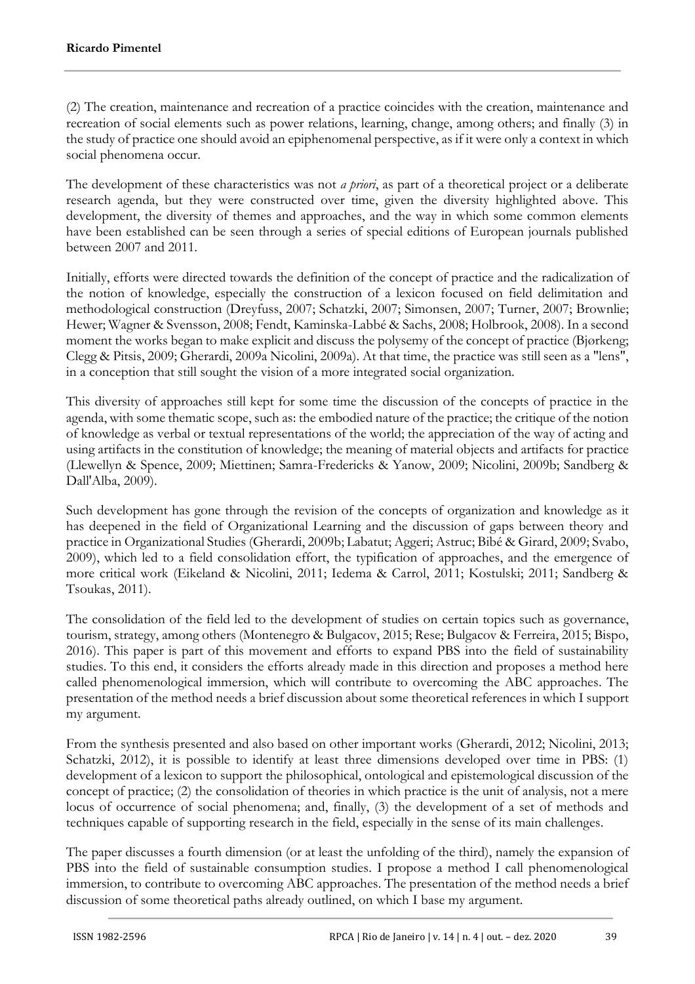(2) The creation, maintenance and recreation of a practice coincides with the creation, maintenance and recreation of social elements such as power relations, learning, change, among others; and finally (3) in the study of practice one should avoid an epiphenomenal perspective, as if it were only a context in which social phenomena occur.

The development of these characteristics was not *a priori*, as part of a theoretical project or a deliberate research agenda, but they were constructed over time, given the diversity highlighted above. This development, the diversity of themes and approaches, and the way in which some common elements have been established can be seen through a series of special editions of European journals published between 2007 and 2011.

Initially, efforts were directed towards the definition of the concept of practice and the radicalization of the notion of knowledge, especially the construction of a lexicon focused on field delimitation and methodological construction (Dreyfuss, 2007; Schatzki, 2007; Simonsen, 2007; Turner, 2007; Brownlie; Hewer; Wagner & Svensson, 2008; Fendt, Kaminska-Labbé & Sachs, 2008; Holbrook, 2008). In a second moment the works began to make explicit and discuss the polysemy of the concept of practice (Bjørkeng; Clegg & Pitsis, 2009; Gherardi, 2009a Nicolini, 2009a). At that time, the practice was still seen as a "lens", in a conception that still sought the vision of a more integrated social organization.

This diversity of approaches still kept for some time the discussion of the concepts of practice in the agenda, with some thematic scope, such as: the embodied nature of the practice; the critique of the notion of knowledge as verbal or textual representations of the world; the appreciation of the way of acting and using artifacts in the constitution of knowledge; the meaning of material objects and artifacts for practice (Llewellyn & Spence, 2009; Miettinen; Samra-Fredericks & Yanow, 2009; Nicolini, 2009b; Sandberg & Dall'Alba, 2009).

Such development has gone through the revision of the concepts of organization and knowledge as it has deepened in the field of Organizational Learning and the discussion of gaps between theory and practice in Organizational Studies (Gherardi, 2009b; Labatut; Aggeri; Astruc; Bibé & Girard, 2009; Svabo, 2009), which led to a field consolidation effort, the typification of approaches, and the emergence of more critical work (Eikeland & Nicolini, 2011; Iedema & Carrol, 2011; Kostulski; 2011; Sandberg & Tsoukas, 2011).

The consolidation of the field led to the development of studies on certain topics such as governance, tourism, strategy, among others (Montenegro & Bulgacov, 2015; Rese; Bulgacov & Ferreira, 2015; Bispo, 2016). This paper is part of this movement and efforts to expand PBS into the field of sustainability studies. To this end, it considers the efforts already made in this direction and proposes a method here called phenomenological immersion, which will contribute to overcoming the ABC approaches. The presentation of the method needs a brief discussion about some theoretical references in which I support my argument.

From the synthesis presented and also based on other important works (Gherardi, 2012; Nicolini, 2013; Schatzki, 2012), it is possible to identify at least three dimensions developed over time in PBS: (1) development of a lexicon to support the philosophical, ontological and epistemological discussion of the concept of practice; (2) the consolidation of theories in which practice is the unit of analysis, not a mere locus of occurrence of social phenomena; and, finally, (3) the development of a set of methods and techniques capable of supporting research in the field, especially in the sense of its main challenges.

The paper discusses a fourth dimension (or at least the unfolding of the third), namely the expansion of PBS into the field of sustainable consumption studies. I propose a method I call phenomenological immersion, to contribute to overcoming ABC approaches. The presentation of the method needs a brief discussion of some theoretical paths already outlined, on which I base my argument.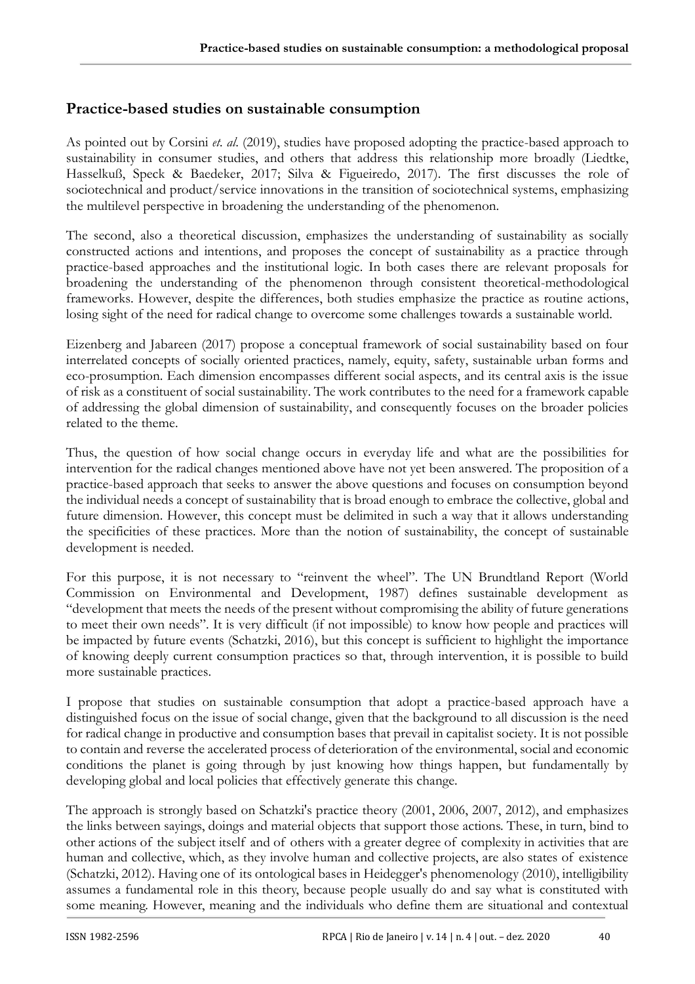# **Practice-based studies on sustainable consumption**

As pointed out by Corsini *et. al*. (2019), studies have proposed adopting the practice-based approach to sustainability in consumer studies, and others that address this relationship more broadly (Liedtke, Hasselkuß, Speck & Baedeker, 2017; Silva & Figueiredo, 2017). The first discusses the role of sociotechnical and product/service innovations in the transition of sociotechnical systems, emphasizing the multilevel perspective in broadening the understanding of the phenomenon.

The second, also a theoretical discussion, emphasizes the understanding of sustainability as socially constructed actions and intentions, and proposes the concept of sustainability as a practice through practice-based approaches and the institutional logic. In both cases there are relevant proposals for broadening the understanding of the phenomenon through consistent theoretical-methodological frameworks. However, despite the differences, both studies emphasize the practice as routine actions, losing sight of the need for radical change to overcome some challenges towards a sustainable world.

Eizenberg and Jabareen (2017) propose a conceptual framework of social sustainability based on four interrelated concepts of socially oriented practices, namely, equity, safety, sustainable urban forms and eco-prosumption. Each dimension encompasses different social aspects, and its central axis is the issue of risk as a constituent of social sustainability. The work contributes to the need for a framework capable of addressing the global dimension of sustainability, and consequently focuses on the broader policies related to the theme.

Thus, the question of how social change occurs in everyday life and what are the possibilities for intervention for the radical changes mentioned above have not yet been answered. The proposition of a practice-based approach that seeks to answer the above questions and focuses on consumption beyond the individual needs a concept of sustainability that is broad enough to embrace the collective, global and future dimension. However, this concept must be delimited in such a way that it allows understanding the specificities of these practices. More than the notion of sustainability, the concept of sustainable development is needed.

For this purpose, it is not necessary to "reinvent the wheel". The UN Brundtland Report (World Commission on Environmental and Development, 1987) defines sustainable development as "development that meets the needs of the present without compromising the ability of future generations to meet their own needs". It is very difficult (if not impossible) to know how people and practices will be impacted by future events (Schatzki, 2016), but this concept is sufficient to highlight the importance of knowing deeply current consumption practices so that, through intervention, it is possible to build more sustainable practices.

I propose that studies on sustainable consumption that adopt a practice-based approach have a distinguished focus on the issue of social change, given that the background to all discussion is the need for radical change in productive and consumption bases that prevail in capitalist society. It is not possible to contain and reverse the accelerated process of deterioration of the environmental, social and economic conditions the planet is going through by just knowing how things happen, but fundamentally by developing global and local policies that effectively generate this change.

The approach is strongly based on Schatzki's practice theory (2001, 2006, 2007, 2012), and emphasizes the links between sayings, doings and material objects that support those actions. These, in turn, bind to other actions of the subject itself and of others with a greater degree of complexity in activities that are human and collective, which, as they involve human and collective projects, are also states of existence (Schatzki, 2012). Having one of its ontological bases in Heidegger's phenomenology (2010), intelligibility assumes a fundamental role in this theory, because people usually do and say what is constituted with some meaning. However, meaning and the individuals who define them are situational and contextual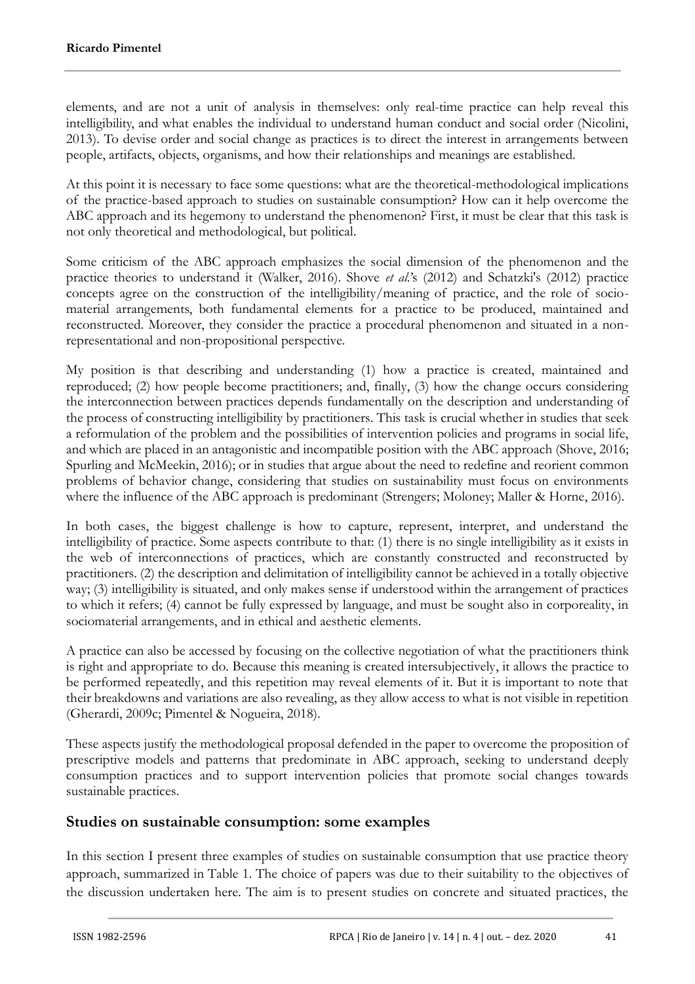elements, and are not a unit of analysis in themselves: only real-time practice can help reveal this intelligibility, and what enables the individual to understand human conduct and social order (Nicolini, 2013). To devise order and social change as practices is to direct the interest in arrangements between people, artifacts, objects, organisms, and how their relationships and meanings are established.

At this point it is necessary to face some questions: what are the theoretical-methodological implications of the practice-based approach to studies on sustainable consumption? How can it help overcome the ABC approach and its hegemony to understand the phenomenon? First, it must be clear that this task is not only theoretical and methodological, but political.

Some criticism of the ABC approach emphasizes the social dimension of the phenomenon and the practice theories to understand it (Walker, 2016). Shove *et al.*'s (2012) and Schatzki's (2012) practice concepts agree on the construction of the intelligibility/meaning of practice, and the role of sociomaterial arrangements, both fundamental elements for a practice to be produced, maintained and reconstructed. Moreover, they consider the practice a procedural phenomenon and situated in a nonrepresentational and non-propositional perspective.

My position is that describing and understanding (1) how a practice is created, maintained and reproduced; (2) how people become practitioners; and, finally, (3) how the change occurs considering the interconnection between practices depends fundamentally on the description and understanding of the process of constructing intelligibility by practitioners. This task is crucial whether in studies that seek a reformulation of the problem and the possibilities of intervention policies and programs in social life, and which are placed in an antagonistic and incompatible position with the ABC approach (Shove, 2016; Spurling and McMeekin, 2016); or in studies that argue about the need to redefine and reorient common problems of behavior change, considering that studies on sustainability must focus on environments where the influence of the ABC approach is predominant (Strengers; Moloney; Maller & Horne, 2016).

In both cases, the biggest challenge is how to capture, represent, interpret, and understand the intelligibility of practice. Some aspects contribute to that: (1) there is no single intelligibility as it exists in the web of interconnections of practices, which are constantly constructed and reconstructed by practitioners. (2) the description and delimitation of intelligibility cannot be achieved in a totally objective way; (3) intelligibility is situated, and only makes sense if understood within the arrangement of practices to which it refers; (4) cannot be fully expressed by language, and must be sought also in corporeality, in sociomaterial arrangements, and in ethical and aesthetic elements.

A practice can also be accessed by focusing on the collective negotiation of what the practitioners think is right and appropriate to do. Because this meaning is created intersubjectively, it allows the practice to be performed repeatedly, and this repetition may reveal elements of it. But it is important to note that their breakdowns and variations are also revealing, as they allow access to what is not visible in repetition (Gherardi, 2009c; Pimentel & Nogueira, 2018).

These aspects justify the methodological proposal defended in the paper to overcome the proposition of prescriptive models and patterns that predominate in ABC approach, seeking to understand deeply consumption practices and to support intervention policies that promote social changes towards sustainable practices.

### **Studies on sustainable consumption: some examples**

In this section I present three examples of studies on sustainable consumption that use practice theory approach, summarized in Table 1. The choice of papers was due to their suitability to the objectives of the discussion undertaken here. The aim is to present studies on concrete and situated practices, the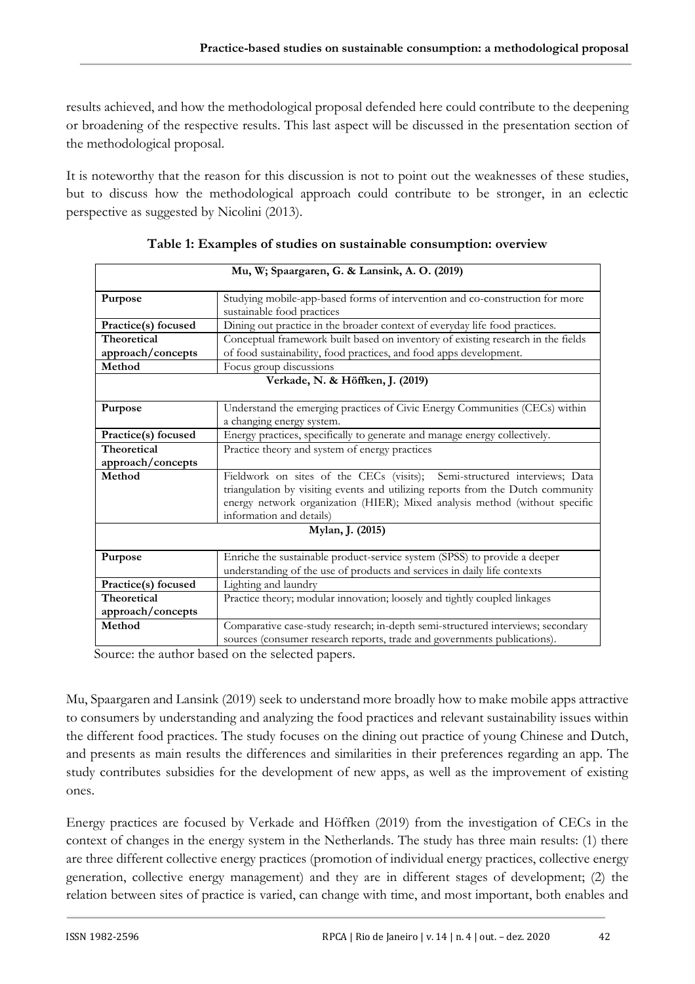results achieved, and how the methodological proposal defended here could contribute to the deepening or broadening of the respective results. This last aspect will be discussed in the presentation section of the methodological proposal.

It is noteworthy that the reason for this discussion is not to point out the weaknesses of these studies, but to discuss how the methodological approach could contribute to be stronger, in an eclectic perspective as suggested by Nicolini (2013).

| Mu, W; Spaargaren, G. & Lansink, A. O. (2019) |                                                                                                            |  |
|-----------------------------------------------|------------------------------------------------------------------------------------------------------------|--|
| Purpose                                       | Studying mobile-app-based forms of intervention and co-construction for more<br>sustainable food practices |  |
| Practice(s) focused                           | Dining out practice in the broader context of everyday life food practices.                                |  |
| Theoretical                                   | Conceptual framework built based on inventory of existing research in the fields                           |  |
| approach/concepts                             | of food sustainability, food practices, and food apps development.                                         |  |
| Method                                        | Focus group discussions                                                                                    |  |
| Verkade, N. & Höffken, J. (2019)              |                                                                                                            |  |
|                                               |                                                                                                            |  |
| Purpose                                       | Understand the emerging practices of Civic Energy Communities (CECs) within                                |  |
|                                               | a changing energy system.                                                                                  |  |
| Practice(s) focused                           | Energy practices, specifically to generate and manage energy collectively.                                 |  |
| <b>Theoretical</b>                            | Practice theory and system of energy practices                                                             |  |
| approach/concepts                             |                                                                                                            |  |
| Method                                        | Fieldwork on sites of the CECs (visits); Semi-structured interviews; Data                                  |  |
|                                               | triangulation by visiting events and utilizing reports from the Dutch community                            |  |
|                                               | energy network organization (HIER); Mixed analysis method (without specific                                |  |
|                                               | information and details)                                                                                   |  |
| Mylan, J. (2015)                              |                                                                                                            |  |
| Purpose                                       | Enriche the sustainable product-service system (SPSS) to provide a deeper                                  |  |
|                                               | understanding of the use of products and services in daily life contexts                                   |  |
| Practice(s) focused                           | Lighting and laundry                                                                                       |  |
| <b>Theoretical</b>                            | Practice theory; modular innovation; loosely and tightly coupled linkages                                  |  |
| approach/concepts                             |                                                                                                            |  |
| Method                                        | Comparative case-study research; in-depth semi-structured interviews; secondary                            |  |
|                                               | sources (consumer research reports, trade and governments publications).                                   |  |

| Table 1: Examples of studies on sustainable consumption: overview |  |
|-------------------------------------------------------------------|--|
|-------------------------------------------------------------------|--|

Source: the author based on the selected papers.

Mu, Spaargaren and Lansink (2019) seek to understand more broadly how to make mobile apps attractive to consumers by understanding and analyzing the food practices and relevant sustainability issues within the different food practices. The study focuses on the dining out practice of young Chinese and Dutch, and presents as main results the differences and similarities in their preferences regarding an app. The study contributes subsidies for the development of new apps, as well as the improvement of existing ones.

Energy practices are focused by Verkade and Höffken (2019) from the investigation of CECs in the context of changes in the energy system in the Netherlands. The study has three main results: (1) there are three different collective energy practices (promotion of individual energy practices, collective energy generation, collective energy management) and they are in different stages of development; (2) the relation between sites of practice is varied, can change with time, and most important, both enables and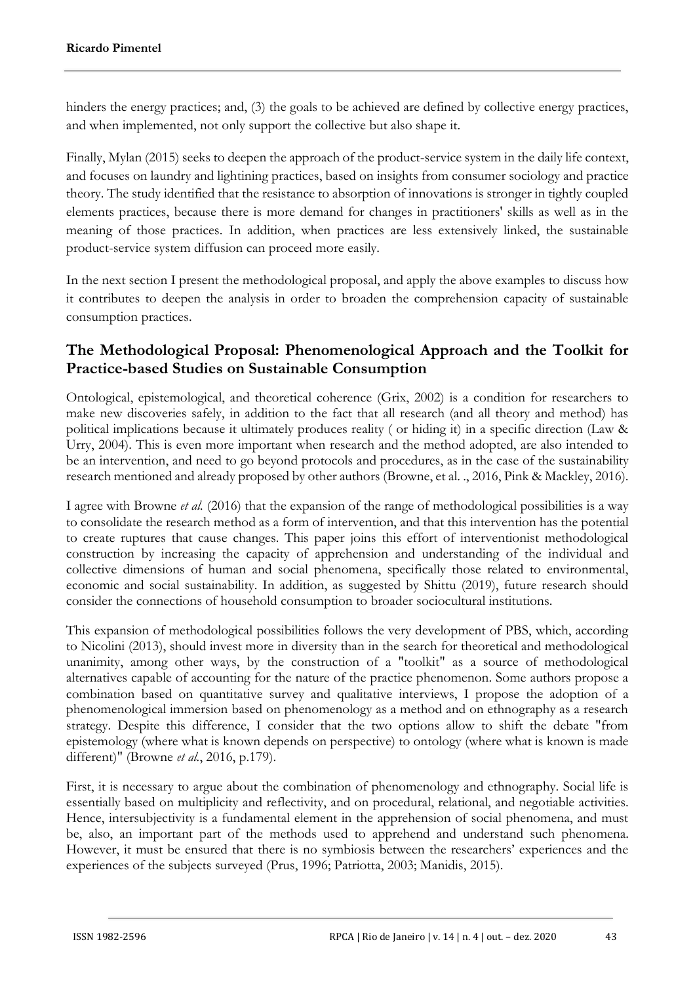hinders the energy practices; and, (3) the goals to be achieved are defined by collective energy practices, and when implemented, not only support the collective but also shape it.

Finally, Mylan (2015) seeks to deepen the approach of the product-service system in the daily life context, and focuses on laundry and lightining practices, based on insights from consumer sociology and practice theory. The study identified that the resistance to absorption of innovations is stronger in tightly coupled elements practices, because there is more demand for changes in practitioners' skills as well as in the meaning of those practices. In addition, when practices are less extensively linked, the sustainable product-service system diffusion can proceed more easily.

In the next section I present the methodological proposal, and apply the above examples to discuss how it contributes to deepen the analysis in order to broaden the comprehension capacity of sustainable consumption practices.

# **The Methodological Proposal: Phenomenological Approach and the Toolkit for Practice-based Studies on Sustainable Consumption**

Ontological, epistemological, and theoretical coherence (Grix, 2002) is a condition for researchers to make new discoveries safely, in addition to the fact that all research (and all theory and method) has political implications because it ultimately produces reality ( or hiding it) in a specific direction (Law & Urry, 2004). This is even more important when research and the method adopted, are also intended to be an intervention, and need to go beyond protocols and procedures, as in the case of the sustainability research mentioned and already proposed by other authors (Browne, et al. ., 2016, Pink & Mackley, 2016).

I agree with Browne *et al.* (2016) that the expansion of the range of methodological possibilities is a way to consolidate the research method as a form of intervention, and that this intervention has the potential to create ruptures that cause changes. This paper joins this effort of interventionist methodological construction by increasing the capacity of apprehension and understanding of the individual and collective dimensions of human and social phenomena, specifically those related to environmental, economic and social sustainability. In addition, as suggested by Shittu (2019), future research should consider the connections of household consumption to broader sociocultural institutions.

This expansion of methodological possibilities follows the very development of PBS, which, according to Nicolini (2013), should invest more in diversity than in the search for theoretical and methodological unanimity, among other ways, by the construction of a "toolkit" as a source of methodological alternatives capable of accounting for the nature of the practice phenomenon. Some authors propose a combination based on quantitative survey and qualitative interviews, I propose the adoption of a phenomenological immersion based on phenomenology as a method and on ethnography as a research strategy. Despite this difference, I consider that the two options allow to shift the debate "from epistemology (where what is known depends on perspective) to ontology (where what is known is made different)" (Browne *et al.*, 2016, p.179).

First, it is necessary to argue about the combination of phenomenology and ethnography. Social life is essentially based on multiplicity and reflectivity, and on procedural, relational, and negotiable activities. Hence, intersubjectivity is a fundamental element in the apprehension of social phenomena, and must be, also, an important part of the methods used to apprehend and understand such phenomena. However, it must be ensured that there is no symbiosis between the researchers' experiences and the experiences of the subjects surveyed (Prus, 1996; Patriotta, 2003; Manidis, 2015).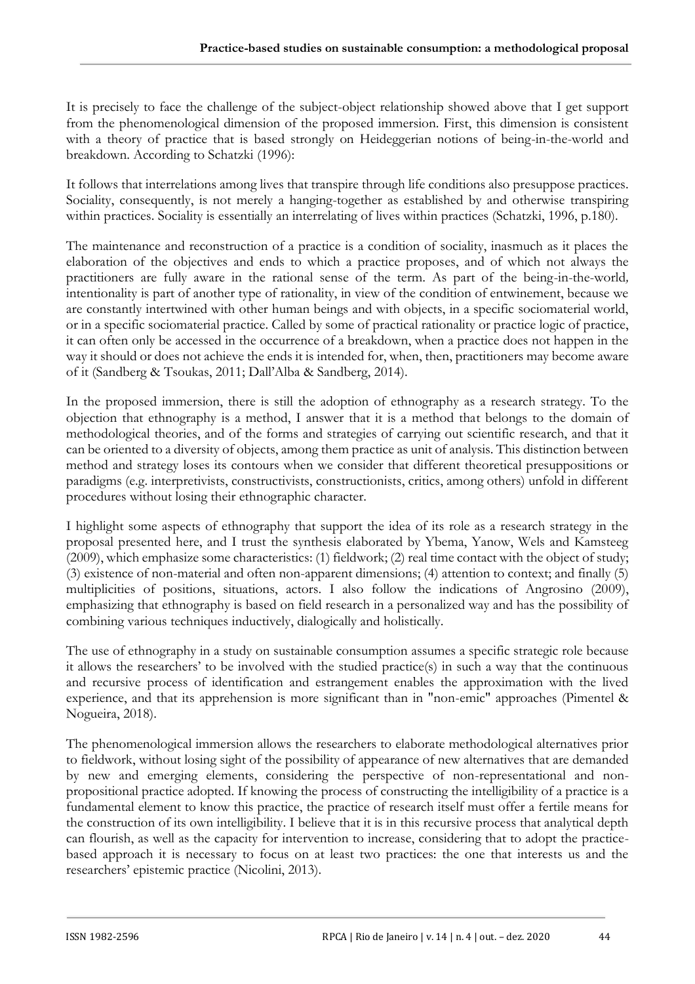It is precisely to face the challenge of the subject-object relationship showed above that I get support from the phenomenological dimension of the proposed immersion. First, this dimension is consistent with a theory of practice that is based strongly on Heideggerian notions of being-in-the-world and breakdown. According to Schatzki (1996):

It follows that interrelations among lives that transpire through life conditions also presuppose practices. Sociality, consequently, is not merely a hanging-together as established by and otherwise transpiring within practices. Sociality is essentially an interrelating of lives within practices (Schatzki, 1996, p.180).

The maintenance and reconstruction of a practice is a condition of sociality, inasmuch as it places the elaboration of the objectives and ends to which a practice proposes, and of which not always the practitioners are fully aware in the rational sense of the term. As part of the being-in-the-world*,* intentionality is part of another type of rationality, in view of the condition of entwinement, because we are constantly intertwined with other human beings and with objects, in a specific sociomaterial world, or in a specific sociomaterial practice. Called by some of practical rationality or practice logic of practice, it can often only be accessed in the occurrence of a breakdown, when a practice does not happen in the way it should or does not achieve the ends it is intended for, when, then, practitioners may become aware of it (Sandberg & Tsoukas, 2011; Dall'Alba & Sandberg, 2014).

In the proposed immersion, there is still the adoption of ethnography as a research strategy. To the objection that ethnography is a method, I answer that it is a method that belongs to the domain of methodological theories, and of the forms and strategies of carrying out scientific research, and that it can be oriented to a diversity of objects, among them practice as unit of analysis. This distinction between method and strategy loses its contours when we consider that different theoretical presuppositions or paradigms (e.g. interpretivists, constructivists, constructionists, critics, among others) unfold in different procedures without losing their ethnographic character.

I highlight some aspects of ethnography that support the idea of its role as a research strategy in the proposal presented here, and I trust the synthesis elaborated by Ybema, Yanow, Wels and Kamsteeg (2009), which emphasize some characteristics: (1) fieldwork; (2) real time contact with the object of study; (3) existence of non-material and often non-apparent dimensions; (4) attention to context; and finally (5) multiplicities of positions, situations, actors. I also follow the indications of Angrosino (2009), emphasizing that ethnography is based on field research in a personalized way and has the possibility of combining various techniques inductively, dialogically and holistically.

The use of ethnography in a study on sustainable consumption assumes a specific strategic role because it allows the researchers' to be involved with the studied practice(s) in such a way that the continuous and recursive process of identification and estrangement enables the approximation with the lived experience, and that its apprehension is more significant than in "non-emic" approaches (Pimentel & Nogueira, 2018).

The phenomenological immersion allows the researchers to elaborate methodological alternatives prior to fieldwork, without losing sight of the possibility of appearance of new alternatives that are demanded by new and emerging elements, considering the perspective of non-representational and nonpropositional practice adopted. If knowing the process of constructing the intelligibility of a practice is a fundamental element to know this practice, the practice of research itself must offer a fertile means for the construction of its own intelligibility. I believe that it is in this recursive process that analytical depth can flourish, as well as the capacity for intervention to increase, considering that to adopt the practicebased approach it is necessary to focus on at least two practices: the one that interests us and the researchers' epistemic practice (Nicolini, 2013).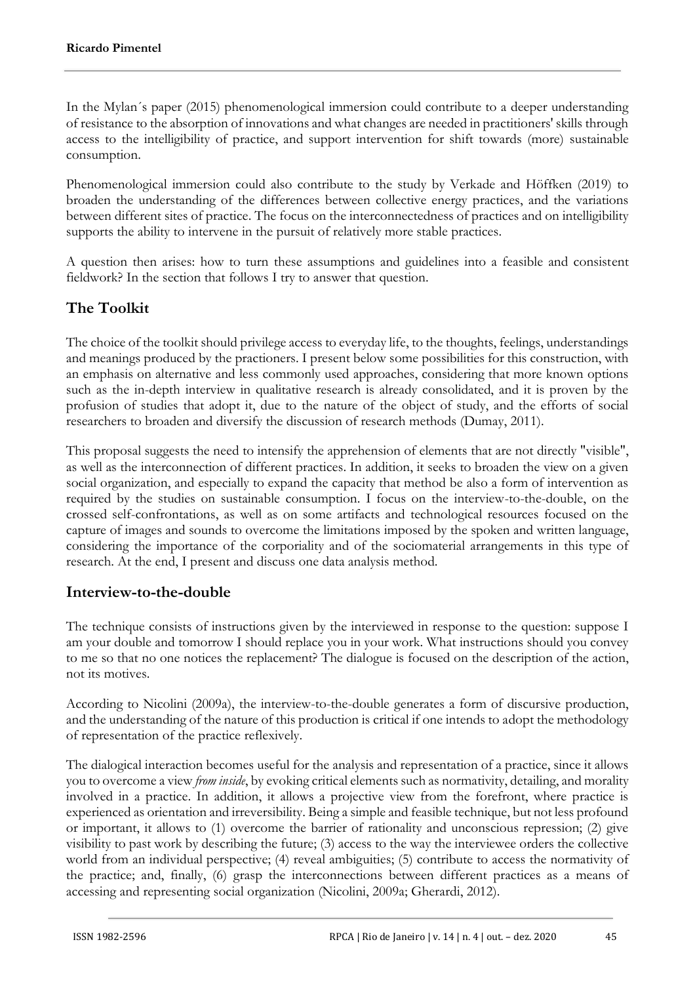In the Mylan´s paper (2015) phenomenological immersion could contribute to a deeper understanding of resistance to the absorption of innovations and what changes are needed in practitioners' skills through access to the intelligibility of practice, and support intervention for shift towards (more) sustainable consumption.

Phenomenological immersion could also contribute to the study by Verkade and Höffken (2019) to broaden the understanding of the differences between collective energy practices, and the variations between different sites of practice. The focus on the interconnectedness of practices and on intelligibility supports the ability to intervene in the pursuit of relatively more stable practices.

A question then arises: how to turn these assumptions and guidelines into a feasible and consistent fieldwork? In the section that follows I try to answer that question.

# **The Toolkit**

The choice of the toolkit should privilege access to everyday life, to the thoughts, feelings, understandings and meanings produced by the practioners. I present below some possibilities for this construction, with an emphasis on alternative and less commonly used approaches, considering that more known options such as the in-depth interview in qualitative research is already consolidated, and it is proven by the profusion of studies that adopt it, due to the nature of the object of study, and the efforts of social researchers to broaden and diversify the discussion of research methods (Dumay, 2011).

This proposal suggests the need to intensify the apprehension of elements that are not directly "visible", as well as the interconnection of different practices. In addition, it seeks to broaden the view on a given social organization, and especially to expand the capacity that method be also a form of intervention as required by the studies on sustainable consumption. I focus on the interview-to-the-double, on the crossed self-confrontations, as well as on some artifacts and technological resources focused on the capture of images and sounds to overcome the limitations imposed by the spoken and written language, considering the importance of the corporiality and of the sociomaterial arrangements in this type of research. At the end, I present and discuss one data analysis method.

### **Interview-to-the-double**

The technique consists of instructions given by the interviewed in response to the question: suppose I am your double and tomorrow I should replace you in your work. What instructions should you convey to me so that no one notices the replacement? The dialogue is focused on the description of the action, not its motives.

According to Nicolini (2009a), the interview-to-the-double generates a form of discursive production, and the understanding of the nature of this production is critical if one intends to adopt the methodology of representation of the practice reflexively.

The dialogical interaction becomes useful for the analysis and representation of a practice, since it allows you to overcome a view *from inside*, by evoking critical elements such as normativity, detailing, and morality involved in a practice. In addition, it allows a projective view from the forefront, where practice is experienced as orientation and irreversibility. Being a simple and feasible technique, but not less profound or important, it allows to (1) overcome the barrier of rationality and unconscious repression; (2) give visibility to past work by describing the future; (3) access to the way the interviewee orders the collective world from an individual perspective; (4) reveal ambiguities; (5) contribute to access the normativity of the practice; and, finally, (6) grasp the interconnections between different practices as a means of accessing and representing social organization (Nicolini, 2009a; Gherardi, 2012).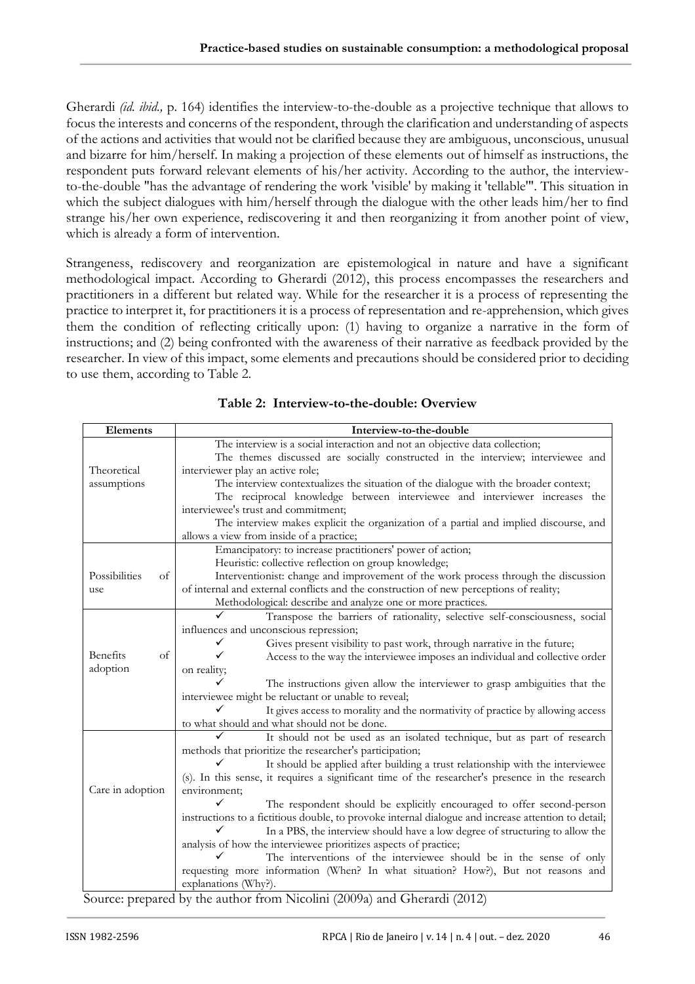Gherardi *(id. ibid.,* p. 164) identifies the interview-to-the-double as a projective technique that allows to focus the interests and concerns of the respondent, through the clarification and understanding of aspects of the actions and activities that would not be clarified because they are ambiguous, unconscious, unusual and bizarre for him/herself. In making a projection of these elements out of himself as instructions, the respondent puts forward relevant elements of his/her activity. According to the author, the interviewto-the-double "has the advantage of rendering the work 'visible' by making it 'tellable'". This situation in which the subject dialogues with him/herself through the dialogue with the other leads him/her to find strange his/her own experience, rediscovering it and then reorganizing it from another point of view, which is already a form of intervention.

Strangeness, rediscovery and reorganization are epistemological in nature and have a significant methodological impact. According to Gherardi (2012), this process encompasses the researchers and practitioners in a different but related way. While for the researcher it is a process of representing the practice to interpret it, for practitioners it is a process of representation and re-apprehension, which gives them the condition of reflecting critically upon: (1) having to organize a narrative in the form of instructions; and (2) being confronted with the awareness of their narrative as feedback provided by the researcher. In view of this impact, some elements and precautions should be considered prior to deciding to use them, according to Table 2.

| Elements            | Interview-to-the-double                                                                             |
|---------------------|-----------------------------------------------------------------------------------------------------|
|                     | The interview is a social interaction and not an objective data collection;                         |
|                     | The themes discussed are socially constructed in the interview; interviewee and                     |
| Theoretical         | interviewer play an active role;                                                                    |
| assumptions         | The interview contextualizes the situation of the dialogue with the broader context;                |
|                     | The reciprocal knowledge between interviewee and interviewer increases the                          |
|                     | interviewee's trust and commitment;                                                                 |
|                     | The interview makes explicit the organization of a partial and implied discourse, and               |
|                     | allows a view from inside of a practice;                                                            |
|                     | Emancipatory: to increase practitioners' power of action;                                           |
|                     | Heuristic: collective reflection on group knowledge;                                                |
| Possibilities<br>of | Interventionist: change and improvement of the work process through the discussion                  |
| use                 | of internal and external conflicts and the construction of new perceptions of reality;              |
|                     | Methodological: describe and analyze one or more practices.                                         |
|                     | Transpose the barriers of rationality, selective self-consciousness, social                         |
|                     | influences and unconscious repression;                                                              |
|                     | Gives present visibility to past work, through narrative in the future;                             |
| Benefits<br>of      | Access to the way the interviewee imposes an individual and collective order                        |
| adoption            | on reality;                                                                                         |
|                     | The instructions given allow the interviewer to grasp ambiguities that the                          |
|                     | interviewee might be reluctant or unable to reveal;                                                 |
|                     | It gives access to morality and the normativity of practice by allowing access                      |
|                     | to what should and what should not be done.                                                         |
|                     | It should not be used as an isolated technique, but as part of research                             |
|                     | methods that prioritize the researcher's participation;                                             |
|                     | It should be applied after building a trust relationship with the interviewee                       |
|                     | (s). In this sense, it requires a significant time of the researcher's presence in the research     |
| Care in adoption    | environment:                                                                                        |
|                     | The respondent should be explicitly encouraged to offer second-person                               |
|                     | instructions to a fictitious double, to provoke internal dialogue and increase attention to detail; |
|                     | In a PBS, the interview should have a low degree of structuring to allow the                        |
|                     | analysis of how the interviewee prioritizes aspects of practice;                                    |
|                     | The interventions of the interviewee should be in the sense of only                                 |
|                     | requesting more information (When? In what situation? How?), But not reasons and                    |
|                     | explanations (Why?).                                                                                |

**Table 2: Interview-to-the-double: Overview**

Source: prepared by the author from Nicolini (2009a) and Gherardi (2012)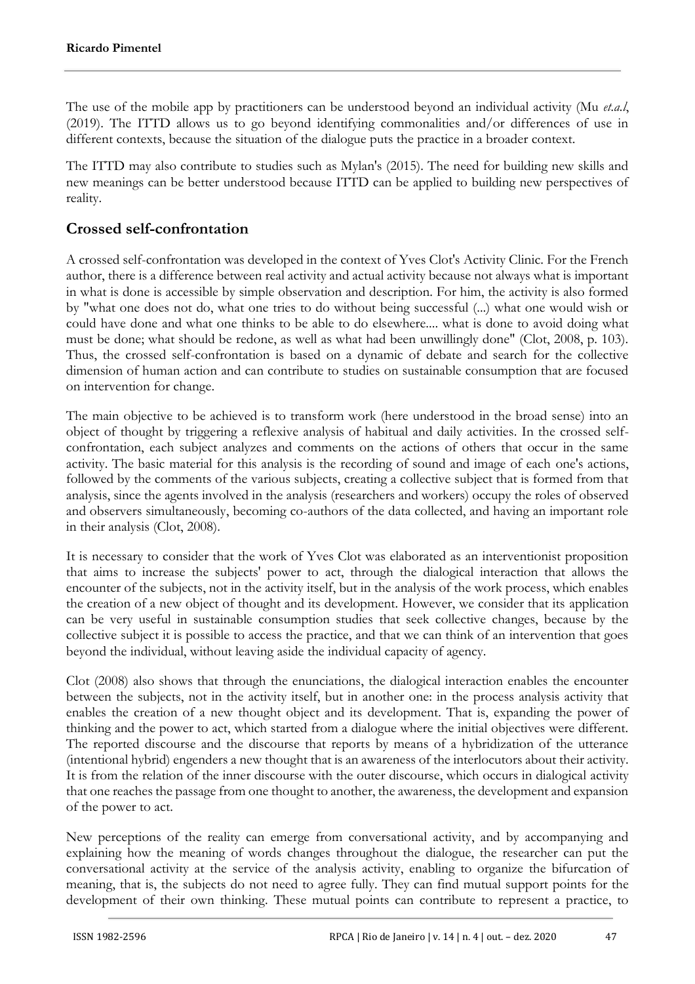The use of the mobile app by practitioners can be understood beyond an individual activity (Mu *et.a.l*, (2019). The ITTD allows us to go beyond identifying commonalities and/or differences of use in different contexts, because the situation of the dialogue puts the practice in a broader context.

The ITTD may also contribute to studies such as Mylan's (2015). The need for building new skills and new meanings can be better understood because ITTD can be applied to building new perspectives of reality.

## **Crossed self-confrontation**

A crossed self-confrontation was developed in the context of Yves Clot's Activity Clinic. For the French author, there is a difference between real activity and actual activity because not always what is important in what is done is accessible by simple observation and description. For him, the activity is also formed by "what one does not do, what one tries to do without being successful (...) what one would wish or could have done and what one thinks to be able to do elsewhere.... what is done to avoid doing what must be done; what should be redone, as well as what had been unwillingly done" (Clot, 2008, p. 103). Thus, the crossed self-confrontation is based on a dynamic of debate and search for the collective dimension of human action and can contribute to studies on sustainable consumption that are focused on intervention for change.

The main objective to be achieved is to transform work (here understood in the broad sense) into an object of thought by triggering a reflexive analysis of habitual and daily activities. In the crossed selfconfrontation, each subject analyzes and comments on the actions of others that occur in the same activity. The basic material for this analysis is the recording of sound and image of each one's actions, followed by the comments of the various subjects, creating a collective subject that is formed from that analysis, since the agents involved in the analysis (researchers and workers) occupy the roles of observed and observers simultaneously, becoming co-authors of the data collected, and having an important role in their analysis (Clot, 2008).

It is necessary to consider that the work of Yves Clot was elaborated as an interventionist proposition that aims to increase the subjects' power to act, through the dialogical interaction that allows the encounter of the subjects, not in the activity itself, but in the analysis of the work process, which enables the creation of a new object of thought and its development. However, we consider that its application can be very useful in sustainable consumption studies that seek collective changes, because by the collective subject it is possible to access the practice, and that we can think of an intervention that goes beyond the individual, without leaving aside the individual capacity of agency.

Clot (2008) also shows that through the enunciations, the dialogical interaction enables the encounter between the subjects, not in the activity itself, but in another one: in the process analysis activity that enables the creation of a new thought object and its development. That is, expanding the power of thinking and the power to act, which started from a dialogue where the initial objectives were different. The reported discourse and the discourse that reports by means of a hybridization of the utterance (intentional hybrid) engenders a new thought that is an awareness of the interlocutors about their activity. It is from the relation of the inner discourse with the outer discourse, which occurs in dialogical activity that one reaches the passage from one thought to another, the awareness, the development and expansion of the power to act.

New perceptions of the reality can emerge from conversational activity, and by accompanying and explaining how the meaning of words changes throughout the dialogue, the researcher can put the conversational activity at the service of the analysis activity, enabling to organize the bifurcation of meaning, that is, the subjects do not need to agree fully. They can find mutual support points for the development of their own thinking. These mutual points can contribute to represent a practice, to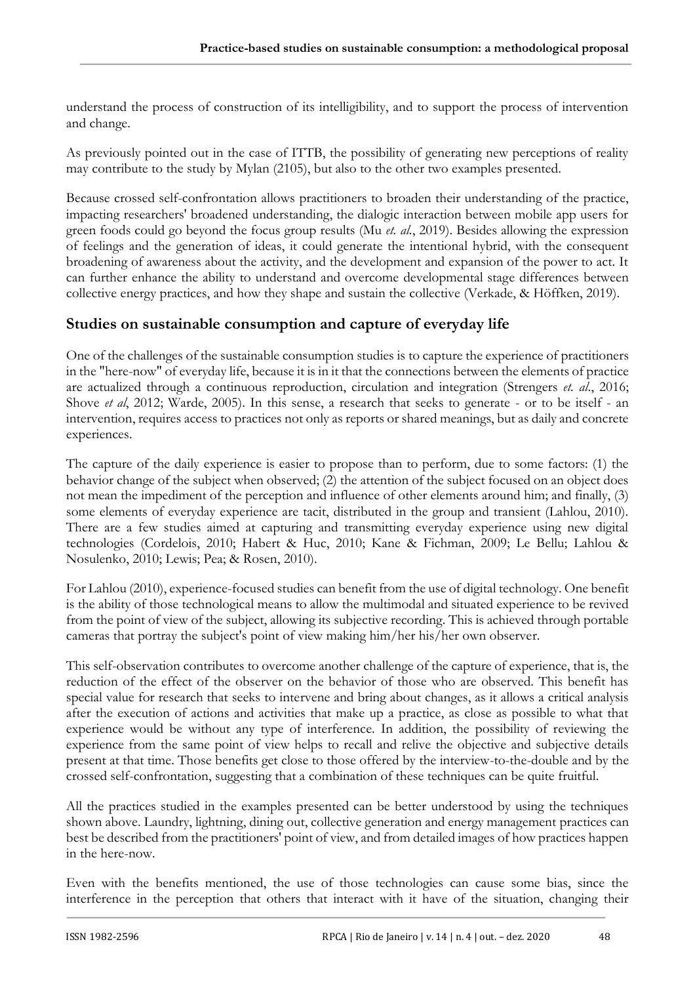understand the process of construction of its intelligibility, and to support the process of intervention and change.

As previously pointed out in the case of ITTB, the possibility of generating new perceptions of reality may contribute to the study by Mylan (2105), but also to the other two examples presented.

Because crossed self-confrontation allows practitioners to broaden their understanding of the practice, impacting researchers' broadened understanding, the dialogic interaction between mobile app users for green foods could go beyond the focus group results (Mu *et. al.*, 2019). Besides allowing the expression of feelings and the generation of ideas, it could generate the intentional hybrid, with the consequent broadening of awareness about the activity, and the development and expansion of the power to act. It can further enhance the ability to understand and overcome developmental stage differences between collective energy practices, and how they shape and sustain the collective (Verkade, & Höffken, 2019).

## **Studies on sustainable consumption and capture of everyday life**

One of the challenges of the sustainable consumption studies is to capture the experience of practitioners in the "here-now" of everyday life, because it is in it that the connections between the elements of practice are actualized through a continuous reproduction, circulation and integration (Strengers *et. al*., 2016; Shove *et al*, 2012; Warde, 2005). In this sense, a research that seeks to generate - or to be itself - an intervention, requires access to practices not only as reports or shared meanings, but as daily and concrete experiences.

The capture of the daily experience is easier to propose than to perform, due to some factors: (1) the behavior change of the subject when observed; (2) the attention of the subject focused on an object does not mean the impediment of the perception and influence of other elements around him; and finally, (3) some elements of everyday experience are tacit, distributed in the group and transient (Lahlou, 2010). There are a few studies aimed at capturing and transmitting everyday experience using new digital technologies (Cordelois, 2010; Habert & Huc, 2010; Kane & Fichman, 2009; Le Bellu; Lahlou & Nosulenko, 2010; Lewis; Pea; & Rosen, 2010).

For Lahlou (2010), experience-focused studies can benefit from the use of digital technology. One benefit is the ability of those technological means to allow the multimodal and situated experience to be revived from the point of view of the subject, allowing its subjective recording. This is achieved through portable cameras that portray the subject's point of view making him/her his/her own observer.

This self-observation contributes to overcome another challenge of the capture of experience, that is, the reduction of the effect of the observer on the behavior of those who are observed. This benefit has special value for research that seeks to intervene and bring about changes, as it allows a critical analysis after the execution of actions and activities that make up a practice, as close as possible to what that experience would be without any type of interference. In addition, the possibility of reviewing the experience from the same point of view helps to recall and relive the objective and subjective details present at that time. Those benefits get close to those offered by the interview-to-the-double and by the crossed self-confrontation, suggesting that a combination of these techniques can be quite fruitful.

All the practices studied in the examples presented can be better understood by using the techniques shown above. Laundry, lightning, dining out, collective generation and energy management practices can best be described from the practitioners' point of view, and from detailed images of how practices happen in the here-now.

Even with the benefits mentioned, the use of those technologies can cause some bias, since the interference in the perception that others that interact with it have of the situation, changing their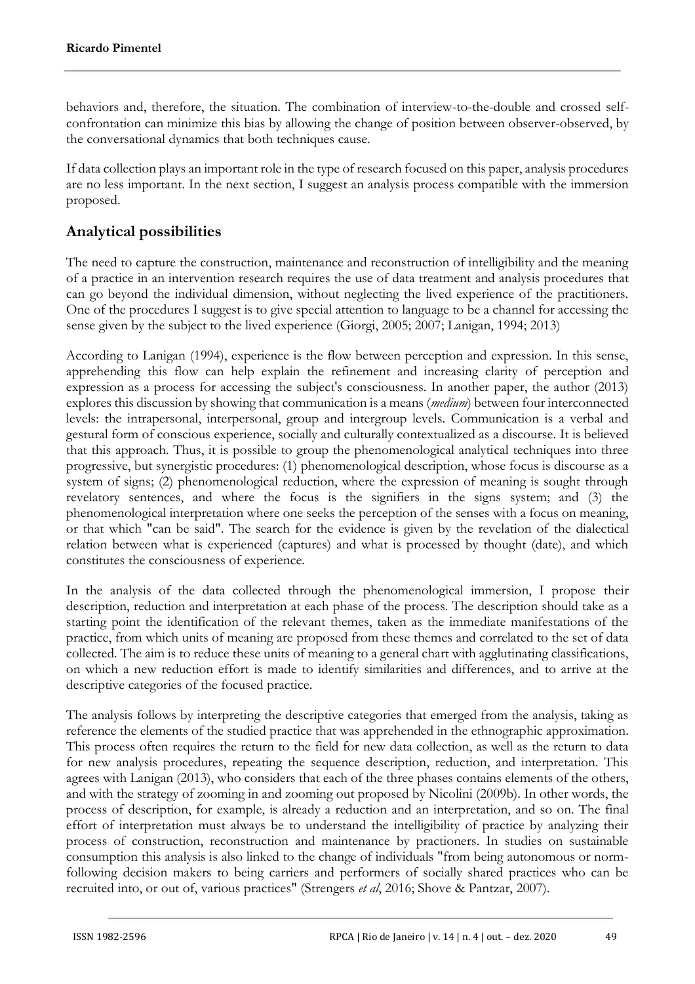behaviors and, therefore, the situation. The combination of interview-to-the-double and crossed selfconfrontation can minimize this bias by allowing the change of position between observer-observed, by the conversational dynamics that both techniques cause.

If data collection plays an important role in the type of research focused on this paper, analysis procedures are no less important. In the next section, I suggest an analysis process compatible with the immersion proposed.

# **Analytical possibilities**

The need to capture the construction, maintenance and reconstruction of intelligibility and the meaning of a practice in an intervention research requires the use of data treatment and analysis procedures that can go beyond the individual dimension, without neglecting the lived experience of the practitioners. One of the procedures I suggest is to give special attention to language to be a channel for accessing the sense given by the subject to the lived experience (Giorgi, 2005; 2007; Lanigan, 1994; 2013)

According to Lanigan (1994), experience is the flow between perception and expression. In this sense, apprehending this flow can help explain the refinement and increasing clarity of perception and expression as a process for accessing the subject's consciousness. In another paper, the author (2013) explores this discussion by showing that communication is a means (*medium*) between four interconnected levels: the intrapersonal, interpersonal, group and intergroup levels. Communication is a verbal and gestural form of conscious experience, socially and culturally contextualized as a discourse*.* It is believed that this approach. Thus, it is possible to group the phenomenological analytical techniques into three progressive, but synergistic procedures: (1) phenomenological description, whose focus is discourse as a system of signs; (2) phenomenological reduction, where the expression of meaning is sought through revelatory sentences, and where the focus is the signifiers in the signs system; and (3) the phenomenological interpretation where one seeks the perception of the senses with a focus on meaning, or that which "can be said". The search for the evidence is given by the revelation of the dialectical relation between what is experienced (captures) and what is processed by thought (date), and which constitutes the consciousness of experience.

In the analysis of the data collected through the phenomenological immersion, I propose their description, reduction and interpretation at each phase of the process. The description should take as a starting point the identification of the relevant themes, taken as the immediate manifestations of the practice, from which units of meaning are proposed from these themes and correlated to the set of data collected. The aim is to reduce these units of meaning to a general chart with agglutinating classifications, on which a new reduction effort is made to identify similarities and differences, and to arrive at the descriptive categories of the focused practice.

The analysis follows by interpreting the descriptive categories that emerged from the analysis, taking as reference the elements of the studied practice that was apprehended in the ethnographic approximation. This process often requires the return to the field for new data collection, as well as the return to data for new analysis procedures, repeating the sequence description, reduction, and interpretation. This agrees with Lanigan (2013), who considers that each of the three phases contains elements of the others, and with the strategy of zooming in and zooming out proposed by Nicolini (2009b). In other words, the process of description, for example, is already a reduction and an interpretation, and so on. The final effort of interpretation must always be to understand the intelligibility of practice by analyzing their process of construction, reconstruction and maintenance by practioners. In studies on sustainable consumption this analysis is also linked to the change of individuals "from being autonomous or normfollowing decision makers to being carriers and performers of socially shared practices who can be recruited into, or out of, various practices" (Strengers *et al*, 2016; Shove & Pantzar, 2007).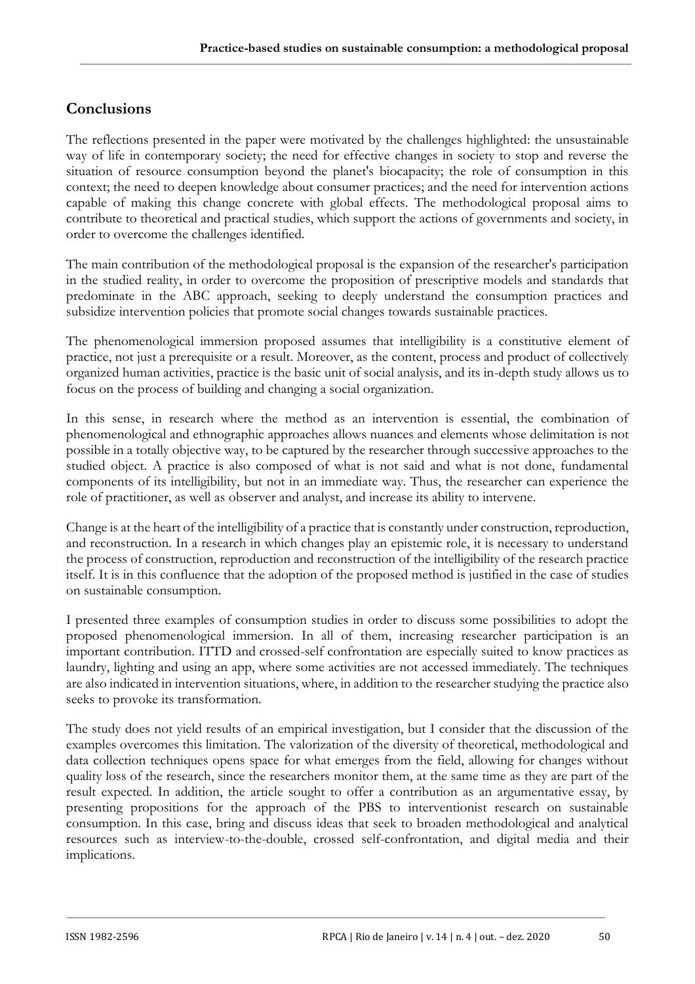# **Conclusions**

The reflections presented in the paper were motivated by the challenges highlighted: the unsustainable way of life in contemporary society; the need for effective changes in society to stop and reverse the situation of resource consumption beyond the planet's biocapacity; the role of consumption in this context; the need to deepen knowledge about consumer practices; and the need for intervention actions capable of making this change concrete with global effects. The methodological proposal aims to contribute to theoretical and practical studies, which support the actions of governments and society, in order to overcome the challenges identified.

The main contribution of the methodological proposal is the expansion of the researcher's participation in the studied reality, in order to overcome the proposition of prescriptive models and standards that predominate in the ABC approach, seeking to deeply understand the consumption practices and subsidize intervention policies that promote social changes towards sustainable practices.

The phenomenological immersion proposed assumes that intelligibility is a constitutive element of practice, not just a prerequisite or a result. Moreover, as the content, process and product of collectively organized human activities, practice is the basic unit of social analysis, and its in-depth study allows us to focus on the process of building and changing a social organization.

In this sense, in research where the method as an intervention is essential, the combination of phenomenological and ethnographic approaches allows nuances and elements whose delimitation is not possible in a totally objective way, to be captured by the researcher through successive approaches to the studied object. A practice is also composed of what is not said and what is not done, fundamental components of its intelligibility, but not in an immediate way. Thus, the researcher can experience the role of practitioner, as well as observer and analyst, and increase its ability to intervene.

Change is at the heart of the intelligibility of a practice that is constantly under construction, reproduction, and reconstruction. In a research in which changes play an epistemic role, it is necessary to understand the process of construction, reproduction and reconstruction of the intelligibility of the research practice itself. It is in this confluence that the adoption of the proposed method is justified in the case of studies on sustainable consumption.

I presented three examples of consumption studies in order to discuss some possibilities to adopt the proposed phenomenological immersion. In all of them, increasing researcher participation is an important contribution. ITTD and crossed-self confrontation are especially suited to know practices as laundry, lighting and using an app, where some activities are not accessed immediately. The techniques are also indicated in intervention situations, where, in addition to the researcher studying the practice also seeks to provoke its transformation.

The study does not yield results of an empirical investigation, but I consider that the discussion of the examples overcomes this limitation. The valorization of the diversity of theoretical, methodological and data collection techniques opens space for what emerges from the field, allowing for changes without quality loss of the research, since the researchers monitor them, at the same time as they are part of the result expected. In addition, the article sought to offer a contribution as an argumentative essay, by presenting propositions for the approach of the PBS to interventionist research on sustainable consumption. In this case, bring and discuss ideas that seek to broaden methodological and analytical resources such as interview-to-the-double, crossed self-confrontation, and digital media and their implications.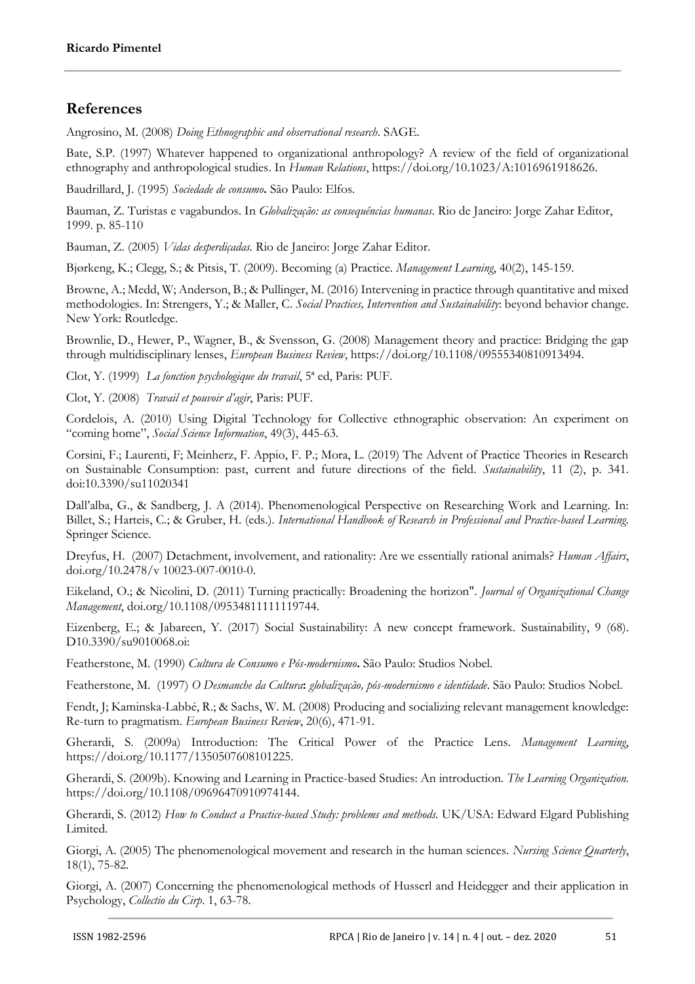## **References**

Angrosino, M. (2008) *Doing Ethnographic and observational research*. SAGE.

Bate, S.P. (1997) Whatever happened to organizational anthropology? A review of the field of organizational ethnography and anthropological studies. In *Human Relations*, https://doi.org/10.1023/A:1016961918626.

Baudrillard, J. (1995) *Sociedade de consumo***.** São Paulo: Elfos.

Bauman, Z. Turistas e vagabundos. In *Globalização: as consequências humanas*. Rio de Janeiro: Jorge Zahar Editor, 1999. p. 85-110

Bauman, Z. (2005) *Vidas desperdiçadas.* Rio de Janeiro: Jorge Zahar Editor.

Bjørkeng, K.; Clegg, S.; & Pitsis, T. (2009). Becoming (a) Practice. *Management Learning*, 40(2), 145-159.

Browne, A.; Medd, W; Anderson, B.; & Pullinger, M. (2016) Intervening in practice through quantitative and mixed methodologies. In: Strengers, Y.; & Maller, C. *Social Practices, Intervention and Sustainability*: beyond behavior change. New York: Routledge.

Brownlie, D., Hewer, P., Wagner, B., & Svensson, G. (2008) Management theory and practice: Bridging the gap through multidisciplinary lenses, *European Business Review*, https://doi.org/10.1108/09555340810913494.

Clot, Y. (1999) *La fonction psychologique du travail*, 5ª ed, Paris: PUF.

Clot, Y. (2008) *Travail et pouvoir d'agir*, Paris: PUF.

Cordelois, A. (2010) Using Digital Technology for Collective ethnographic observation: An experiment on "coming home", *Social Science Information*, 49(3), 445-63.

Corsini, F.; Laurenti, F; Meinherz, F. Appio, F. P.; Mora, L. (2019) The Advent of Practice Theories in Research on Sustainable Consumption: past, current and future directions of the field. *Sustainability*, 11 (2), p. 341. doi:10.3390/su11020341

Dall'alba, G., & Sandberg, J. A (2014). Phenomenological Perspective on Researching Work and Learning. In: Billet, S.; Harteis, C.; & Gruber, H. (eds.). *International Handbook of Research in Professional and Practice-based Learning.* Springer Science.

Dreyfus, H. (2007) Detachment, involvement, and rationality: Are we essentially rational animals? *Human Affairs*, doi.org/10.2478/v 10023-007-0010-0.

Eikeland, O.; & Nicolini, D. (2011) Turning practically: Broadening the horizon". *Journal of Organizational Change Management*, doi.org/10.1108/09534811111119744.

Eizenberg, E.; & Jabareen, Y. (2017) Social Sustainability: A new concept framework. Sustainability, 9 (68). D10.3390/su9010068.oi:

Featherstone, M. (1990) *Cultura de Consumo e Pós-modernismo***.** São Paulo: Studios Nobel.

Featherstone, M. (1997) *O Desmanche da Cultura***:** *globalização, pós-modernismo e identidade*. São Paulo: Studios Nobel.

Fendt, J; Kaminska-Labbé, R.; & Sachs, W. M. (2008) Producing and socializing relevant management knowledge: Re-turn to pragmatism. *European Business Review*, 20(6), 471-91.

Gherardi, S. (2009a) Introduction: The Critical Power of the Practice Lens. *Management Learning*, https://doi.org/10.1177/1350507608101225.

Gherardi, S. (2009b). Knowing and Learning in Practice-based Studies: An introduction. *The Learning Organization.* https://doi.org/10.1108/09696470910974144.

Gherardi, S. (2012) *How to Conduct a Practice-based Study: problems and methods.* UK/USA: Edward Elgard Publishing Limited.

Giorgi, A. (2005) The phenomenological movement and research in the human sciences. *Nursing Science Quarterly*, 18(1), 75-82.

Giorgi, A. (2007) Concerning the phenomenological methods of Husserl and Heidegger and their application in Psychology, *Collectio du Cirp*. 1, 63-78.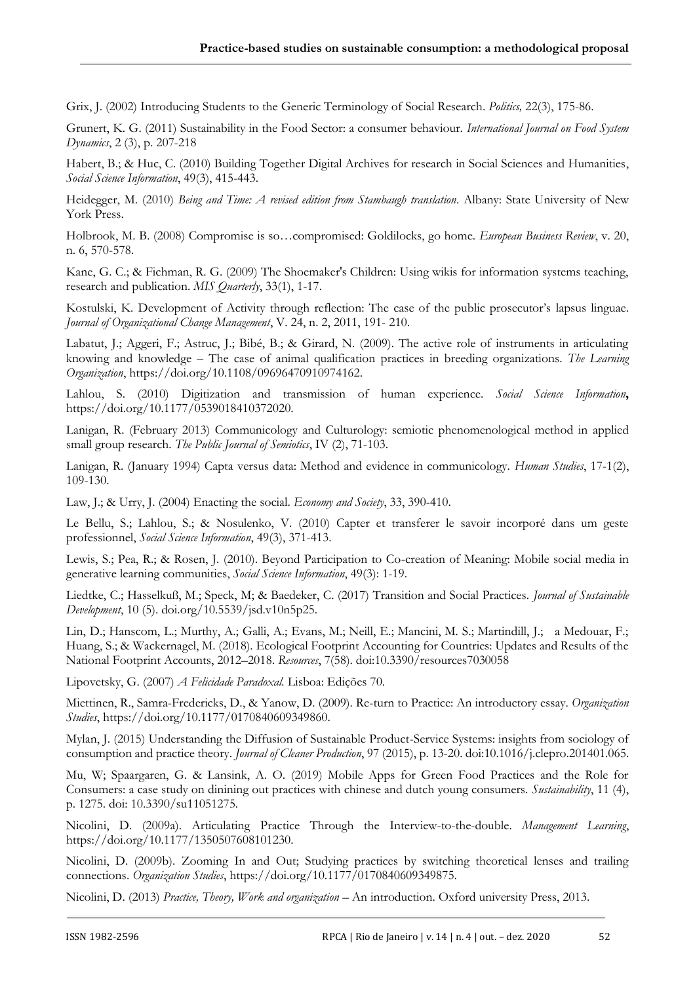Grix, J. (2002) Introducing Students to the Generic Terminology of Social Research. *Politics,* 22(3), 175-86.

Grunert, K. G. (2011) Sustainability in the Food Sector: a consumer behaviour. *International Journal on Food System Dynamics*, 2 (3), p. 207-218

Habert, B.; & Huc, C. (2010) Building Together Digital Archives for research in Social Sciences and Humanities, *Social Science Information*, 49(3), 415-443.

Heidegger, M. (2010) *Being and Time: A revised edition from Stambaugh translation*. Albany: State University of New York Press.

Holbrook, M. B. (2008) Compromise is so…compromised: Goldilocks, go home. *European Business Review*, v. 20, n. 6, 570-578.

Kane, G. C.; & Fichman, R. G. (2009) The Shoemaker's Children: Using wikis for information systems teaching, research and publication. *MIS Quarterly*, 33(1), 1-17.

Kostulski, K. Development of Activity through reflection: The case of the public prosecutor's lapsus linguae. *Journal of Organizational Change Management*, V. 24, n. 2, 2011, 191- 210.

Labatut, J.; Aggeri, F.; Astruc, J.; Bibé, B.; & Girard, N. (2009). The active role of instruments in articulating knowing and knowledge – The case of animal qualification practices in breeding organizations. *The Learning Organization*, https://doi.org/10.1108/09696470910974162.

Lahlou, S. (2010) Digitization and transmission of human experience. *Social Science Information***,** https://doi.org/10.1177/0539018410372020.

Lanigan, R. (February 2013) Communicology and Culturology: semiotic phenomenological method in applied small group research. *The Public Journal of Semiotics*, IV (2), 71-103.

Lanigan, R. (January 1994) Capta versus data: Method and evidence in communicology. *Human Studies*, 17-1(2), 109-130.

Law, J.; & Urry, J. (2004) Enacting the social. *Economy and Society*, 33, 390-410.

Le Bellu, S.; Lahlou, S.; & Nosulenko, V. (2010) Capter et transferer le savoir incorporé dans um geste professionnel, *Social Science Information*, 49(3), 371-413.

Lewis, S.; Pea, R.; & Rosen, J. (2010). Beyond Participation to Co-creation of Meaning: Mobile social media in generative learning communities, *Social Science Information*, 49(3): 1-19.

Liedtke, C.; Hasselkuß, M.; Speck, M; & Baedeker, C. (2017) Transition and Social Practices. *Journal of Sustainable Development*, 10 (5). doi.org/10.5539/jsd.v10n5p25.

Lin, D.; Hanscom, L.; Murthy, A.; Galli, A.; Evans, M.; Neill, E.; Mancini, M. S.; Martindill, J.; a Medouar, F.; Huang, S.; & Wackernagel, M. (2018). Ecological Footprint Accounting for Countries: Updates and Results of the National Footprint Accounts, 2012–2018. *Resources*, 7(58). doi:10.3390/resources7030058

Lipovetsky, G. (2007) *A Felicidade Paradoxal.* Lisboa: Edições 70.

Miettinen, R., Samra-Fredericks, D., & Yanow, D. (2009). Re-turn to Practice: An introductory essay. *Organization Studies*, https://doi.org/10.1177/0170840609349860.

Mylan, J. (2015) Understanding the Diffusion of Sustainable Product-Service Systems: insights from sociology of consumption and practice theory. *Journal of Cleaner Production*, 97 (2015), p. 13-20. doi:10.1016/j.clepro.201401.065.

Mu, W; Spaargaren, G. & Lansink, A. O. (2019) Mobile Apps for Green Food Practices and the Role for Consumers: a case study on dinining out practices with chinese and dutch young consumers. *Sustainability*, 11 (4), p. 1275. doi: 10.3390/su11051275.

Nicolini, D. (2009a). Articulating Practice Through the Interview-to-the-double. *Management Learning*, https://doi.org/10.1177/1350507608101230.

Nicolini, D. (2009b). Zooming In and Out; Studying practices by switching theoretical lenses and trailing connections. *Organization Studies*, https://doi.org/10.1177/0170840609349875.

Nicolini, D. (2013) *Practice, Theory, Work and organization* – An introduction. Oxford university Press, 2013.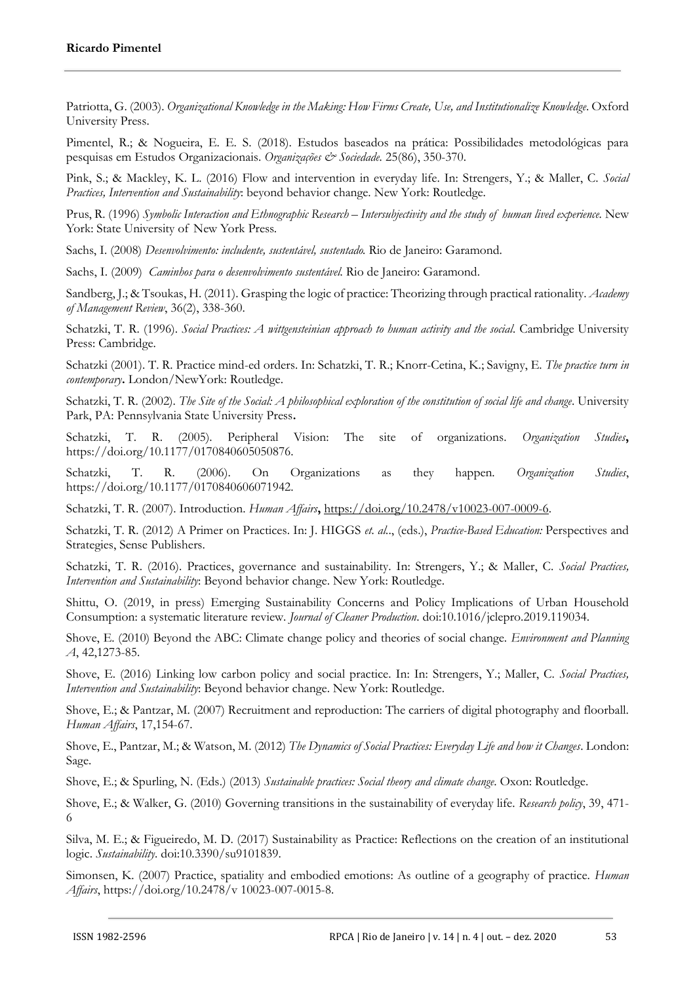Patriotta, G. (2003). *Organizational Knowledge in the Making: How Firms Create, Use, and Institutionalize Knowledge*. Oxford University Press.

Pimentel, R.; & Nogueira, E. E. S. (2018). Estudos baseados na prática: Possibilidades metodológicas para pesquisas em Estudos Organizacionais. *Organizações & Sociedade.* 25(86), 350-370.

Pink, S.; & Mackley, K. L. (2016) Flow and intervention in everyday life. In: Strengers, Y.; & Maller, C. *Social Practices, Intervention and Sustainability*: beyond behavior change. New York: Routledge.

Prus, R. (1996) *Symbolic Interaction and Ethnographic Research – Intersubjectivity and the study of human lived experience.* New York: State University of New York Press.

Sachs, I. (2008) *Desenvolvimento: includente, sustentável, sustentado.* Rio de Janeiro: Garamond.

Sachs, I. (2009) *Caminhos para o desenvolvimento sustentável.* Rio de Janeiro: Garamond.

Sandberg, J.; & Tsoukas, H. (2011). Grasping the logic of practice: Theorizing through practical rationality. *Academy of Management Review*, 36(2), 338-360.

Schatzki, T. R. (1996). *Social Practices: A wittgensteinian approach to human activity and the social.* Cambridge University Press: Cambridge.

Schatzki (2001). T. R. Practice mind-ed orders. In: Schatzki, T. R.; Knorr-Cetina, K.; Savigny, E. *The practice turn in contemporary***.** London/NewYork: Routledge.

Schatzki, T. R. (2002). *The Site of the Social: A philosophical exploration of the constitution of social life and change*. University Park, PA: Pennsylvania State University Press**.** 

Schatzki, T. R. (2005). Peripheral Vision: The site of organizations. *Organization Studies***,**  https://doi.org/10.1177/0170840605050876.

Schatzki, T. R. (2006). On Organizations as they happen. *Organization Studies*, https://doi.org/10.1177/0170840606071942.

Schatzki, T. R. (2007). Introduction. *Human Affairs***,** [https://doi.org/10.2478/v10023-007-0009-6.](https://doi.org/10.2478/v10023-007-0009-6)

Schatzki, T. R. (2012) A Primer on Practices. In: J. HIGGS *et. al.*., (eds.), *Practice-Based Education:* Perspectives and Strategies, Sense Publishers.

Schatzki, T. R. (2016). Practices, governance and sustainability. In: Strengers, Y.; & Maller, C. *Social Practices, Intervention and Sustainability*: Beyond behavior change. New York: Routledge.

Shittu, O. (2019, in press) Emerging Sustainability Concerns and Policy Implications of Urban Household Consumption: a systematic literature review. *Journal of Cleaner Production*. doi:10.1016/jclepro.2019.119034.

Shove, E. (2010) Beyond the ABC: Climate change policy and theories of social change. *Environment and Planning A*, 42,1273-85.

Shove, E. (2016) Linking low carbon policy and social practice. In: In: Strengers, Y.; Maller, C. *Social Practices, Intervention and Sustainability*: Beyond behavior change. New York: Routledge.

Shove, E.; & Pantzar, M. (2007) Recruitment and reproduction: The carriers of digital photography and floorball. *Human Affairs*, 17,154-67.

Shove, E., Pantzar, M.; & Watson, M. (2012) *The Dynamics of Social Practices: Everyday Life and how it Changes*. London: Sage.

Shove, E.; & Spurling, N. (Eds.) (2013) *Sustainable practices: Social theory and climate change*. Oxon: Routledge.

Shove, E.; & Walker, G. (2010) Governing transitions in the sustainability of everyday life. *Research policy*, 39, 471- 6

Silva, M. E.; & Figueiredo, M. D. (2017) Sustainability as Practice: Reflections on the creation of an institutional logic. *Sustainability*. doi:10.3390/su9101839.

Simonsen, K. (2007) Practice, spatiality and embodied emotions: As outline of a geography of practice. *Human Affairs*, https://doi.org/10.2478/v 10023-007-0015-8.